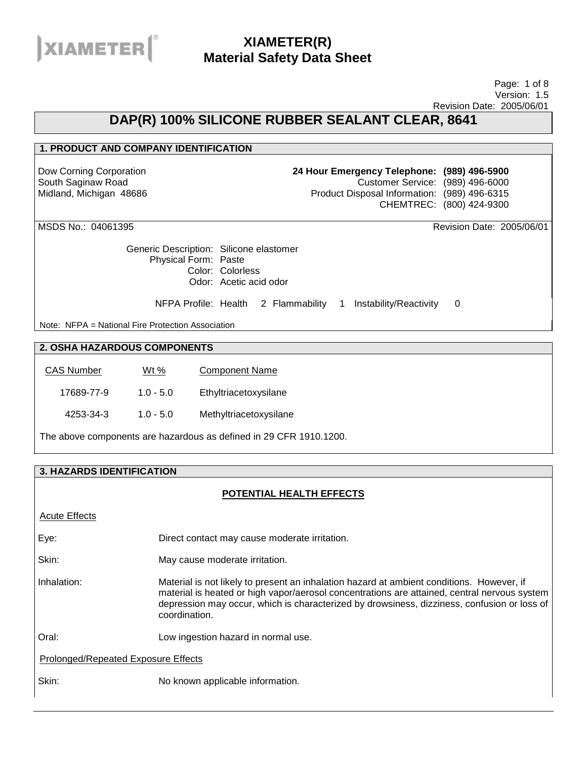

#### Page: 1 of 8 Version: 1.5 Revision Date: 2005/06/01

### **DAP(R) 100% SILICONE RUBBER SEALANT CLEAR, 8641**

#### **1. PRODUCT AND COMPANY IDENTIFICATION**

Dow Corning Corporation South Saginaw Road Midland, Michigan 48686 **24 Hour Emergency Telephone: (989) 496-5900** Customer Service: (989) 496-6000 Product Disposal Information: (989) 496-6315 CHEMTREC: (800) 424-9300

Generic Description: Silicone elastomer Physical Form: Paste Color: Colorless Odor: Acetic acid odor

NFPA Profile: Health 2 Flammability 1 Instability/Reactivity 0

Note: NFPA = National Fire Protection Association

### **2. OSHA HAZARDOUS COMPONENTS**

| <b>CAS Number</b> | Wt %        | <b>Component Name</b>  |
|-------------------|-------------|------------------------|
| 17689-77-9        | $1.0 - 5.0$ | Ethyltriacetoxysilane  |
| 4253-34-3         | $1.0 - 5.0$ | Methyltriacetoxysilane |

The above components are hazardous as defined in 29 CFR 1910.1200.

### **3. HAZARDS IDENTIFICATION**

#### **POTENTIAL HEALTH EFFECTS**

Acute Effects Eye: Direct contact may cause moderate irritation. Skin: May cause moderate irritation. Inhalation: Material is not likely to present an inhalation hazard at ambient conditions. However, if material is heated or high vapor/aerosol concentrations are attained, central nervous system depression may occur, which is characterized by drowsiness, dizziness, confusion or loss of coordination. Oral: Low ingestion hazard in normal use. Prolonged/Repeated Exposure Effects Skin: No known applicable information.

MSDS No.: 04061395 Revision Date: 2005/06/01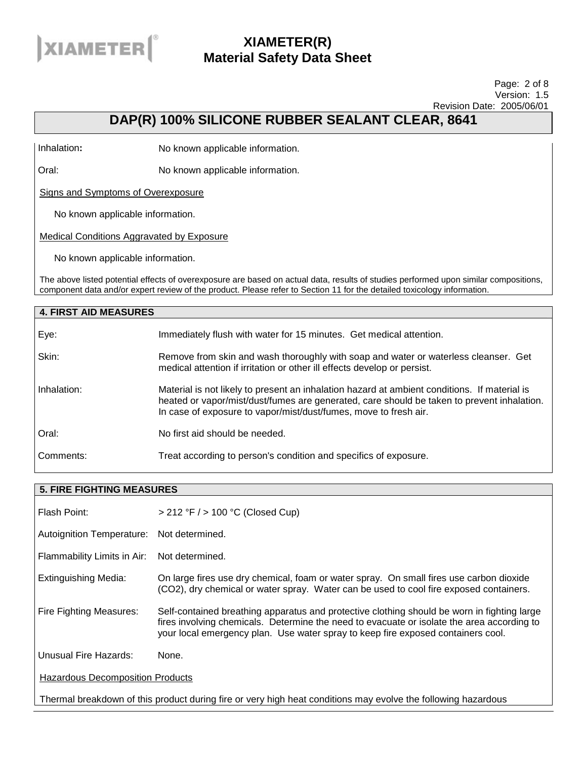

#### Page: 2 of 8 Version: 1.5 Revision Date: 2005/06/01

## **DAP(R) 100% SILICONE RUBBER SEALANT CLEAR, 8641**

Inhalation**:** No known applicable information.

Oral: No known applicable information.

Signs and Symptoms of Overexposure

No known applicable information.

Medical Conditions Aggravated by Exposure

No known applicable information.

The above listed potential effects of overexposure are based on actual data, results of studies performed upon similar compositions, component data and/or expert review of the product. Please refer to Section 11 for the detailed toxicology information.

| <b>4. FIRST AID MEASURES</b> |                                                                                                                                                                                                                                                                |
|------------------------------|----------------------------------------------------------------------------------------------------------------------------------------------------------------------------------------------------------------------------------------------------------------|
| Eye:                         | Immediately flush with water for 15 minutes. Get medical attention.                                                                                                                                                                                            |
| Skin:                        | Remove from skin and wash thoroughly with soap and water or waterless cleanser. Get<br>medical attention if irritation or other ill effects develop or persist.                                                                                                |
| Inhalation:                  | Material is not likely to present an inhalation hazard at ambient conditions. If material is<br>heated or vapor/mist/dust/fumes are generated, care should be taken to prevent inhalation.<br>In case of exposure to vapor/mist/dust/fumes, move to fresh air. |
| Oral:                        | No first aid should be needed.                                                                                                                                                                                                                                 |
| Comments:                    | Treat according to person's condition and specifics of exposure.                                                                                                                                                                                               |

| <b>5. FIRE FIGHTING MEASURES</b>          |                                                                                                                                                                                                                                                                               |  |
|-------------------------------------------|-------------------------------------------------------------------------------------------------------------------------------------------------------------------------------------------------------------------------------------------------------------------------------|--|
| Flash Point:                              | $>$ 212 °F $/$ > 100 °C (Closed Cup)                                                                                                                                                                                                                                          |  |
| Autoignition Temperature: Not determined. |                                                                                                                                                                                                                                                                               |  |
| Flammability Limits in Air:               | Not determined.                                                                                                                                                                                                                                                               |  |
| <b>Extinguishing Media:</b>               | On large fires use dry chemical, foam or water spray. On small fires use carbon dioxide<br>(CO2), dry chemical or water spray. Water can be used to cool fire exposed containers.                                                                                             |  |
| Fire Fighting Measures:                   | Self-contained breathing apparatus and protective clothing should be worn in fighting large<br>fires involving chemicals. Determine the need to evacuate or isolate the area according to<br>your local emergency plan. Use water spray to keep fire exposed containers cool. |  |
| Unusual Fire Hazards:                     | None.                                                                                                                                                                                                                                                                         |  |
| <b>Hazardous Decomposition Products</b>   |                                                                                                                                                                                                                                                                               |  |
|                                           | Thermal breakdown of this product during fire or very high heat conditions may evolve the following hazardous                                                                                                                                                                 |  |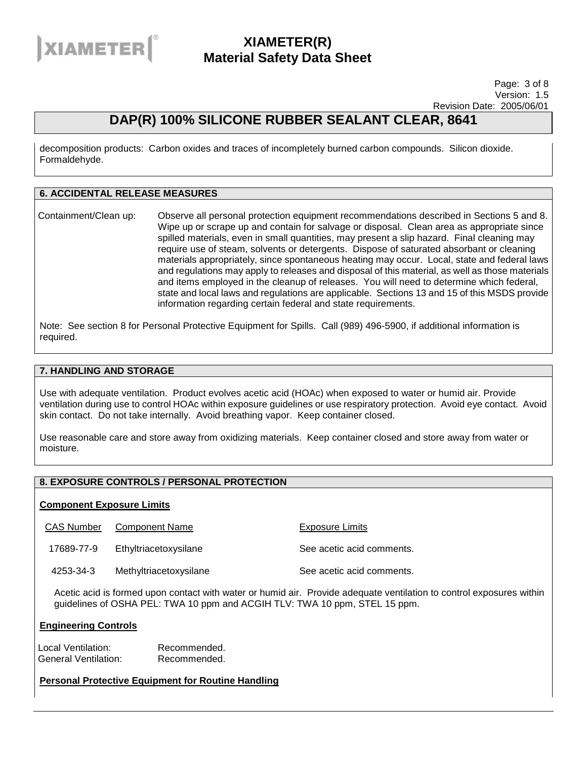

Page: 3 of 8 Version: 1.5 Revision Date: 2005/06/01

### **DAP(R) 100% SILICONE RUBBER SEALANT CLEAR, 8641**

decomposition products: Carbon oxides and traces of incompletely burned carbon compounds. Silicon dioxide. Formaldehyde.

#### **6. ACCIDENTAL RELEASE MEASURES**

Containment/Clean up: Observe all personal protection equipment recommendations described in Sections 5 and 8. Wipe up or scrape up and contain for salvage or disposal. Clean area as appropriate since spilled materials, even in small quantities, may present a slip hazard. Final cleaning may require use of steam, solvents or detergents. Dispose of saturated absorbant or cleaning materials appropriately, since spontaneous heating may occur. Local, state and federal laws and regulations may apply to releases and disposal of this material, as well as those materials and items employed in the cleanup of releases. You will need to determine which federal, state and local laws and regulations are applicable. Sections 13 and 15 of this MSDS provide information regarding certain federal and state requirements.

Note: See section 8 for Personal Protective Equipment for Spills. Call (989) 496-5900, if additional information is required.

#### **7. HANDLING AND STORAGE**

Use with adequate ventilation. Product evolves acetic acid (HOAc) when exposed to water or humid air. Provide ventilation during use to control HOAc within exposure guidelines or use respiratory protection. Avoid eye contact. Avoid skin contact. Do not take internally. Avoid breathing vapor. Keep container closed.

Use reasonable care and store away from oxidizing materials. Keep container closed and store away from water or moisture.

### **8. EXPOSURE CONTROLS / PERSONAL PROTECTION**

#### **Component Exposure Limits**

CAS Number Component Name The Component Name Exposure Limits

17689-77-9 Ethyltriacetoxysilane See acetic acid comments.

4253-34-3 Methyltriacetoxysilane See acetic acid comments.

Acetic acid is formed upon contact with water or humid air. Provide adequate ventilation to control exposures within guidelines of OSHA PEL: TWA 10 ppm and ACGIH TLV: TWA 10 ppm, STEL 15 ppm.

#### **Engineering Controls**

Local Ventilation: Recommended. General Ventilation: Recommended.

**Personal Protective Equipment for Routine Handling**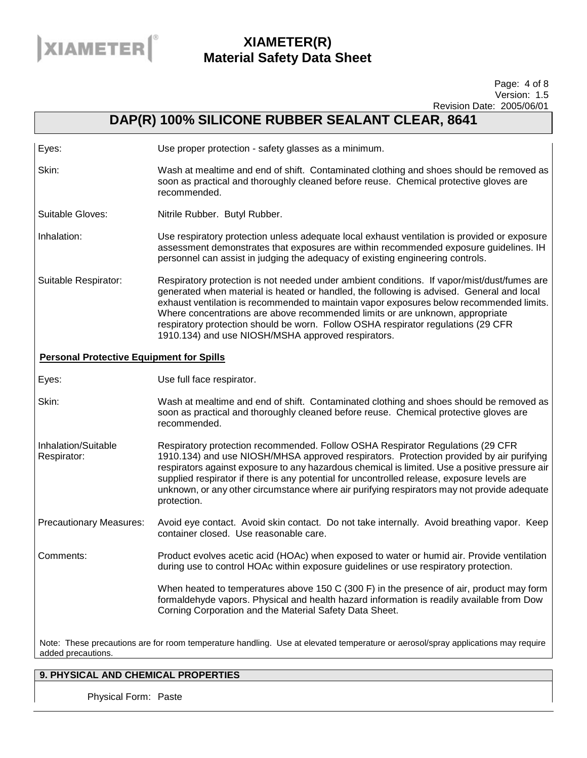

#### Page: 4 of 8 Version: 1.5 Revision Date: 2005/06/01

### **DAP(R) 100% SILICONE RUBBER SEALANT CLEAR, 8641**

| Eyes: | Use proper protection - safety glasses as a minimum. |
|-------|------------------------------------------------------|
|       |                                                      |

Skin: Wash at mealtime and end of shift. Contaminated clothing and shoes should be removed as soon as practical and thoroughly cleaned before reuse. Chemical protective gloves are recommended.

Suitable Gloves: Nitrile Rubber. Butyl Rubber.

Inhalation: Use respiratory protection unless adequate local exhaust ventilation is provided or exposure assessment demonstrates that exposures are within recommended exposure guidelines. IH personnel can assist in judging the adequacy of existing engineering controls.

Suitable Respirator: Respiratory protection is not needed under ambient conditions. If vapor/mist/dust/fumes are generated when material is heated or handled, the following is advised. General and local exhaust ventilation is recommended to maintain vapor exposures below recommended limits. Where concentrations are above recommended limits or are unknown, appropriate respiratory protection should be worn. Follow OSHA respirator regulations (29 CFR 1910.134) and use NIOSH/MSHA approved respirators.

#### **Personal Protective Equipment for Spills**

Eyes: Use full face respirator.

Skin: Wash at mealtime and end of shift. Contaminated clothing and shoes should be removed as soon as practical and thoroughly cleaned before reuse. Chemical protective gloves are recommended.

Inhalation/Suitable Respirator: Respiratory protection recommended. Follow OSHA Respirator Regulations (29 CFR 1910.134) and use NIOSH/MHSA approved respirators. Protection provided by air purifying respirators against exposure to any hazardous chemical is limited. Use a positive pressure air supplied respirator if there is any potential for uncontrolled release, exposure levels are unknown, or any other circumstance where air purifying respirators may not provide adequate protection.

Precautionary Measures: Avoid eye contact. Avoid skin contact. Do not take internally. Avoid breathing vapor. Keep container closed. Use reasonable care.

Comments: Product evolves acetic acid (HOAc) when exposed to water or humid air. Provide ventilation during use to control HOAc within exposure guidelines or use respiratory protection.

> When heated to temperatures above 150 C (300 F) in the presence of air, product may form formaldehyde vapors. Physical and health hazard information is readily available from Dow Corning Corporation and the Material Safety Data Sheet.

Note: These precautions are for room temperature handling. Use at elevated temperature or aerosol/spray applications may require added precautions.

### **9. PHYSICAL AND CHEMICAL PROPERTIES**

Physical Form: Paste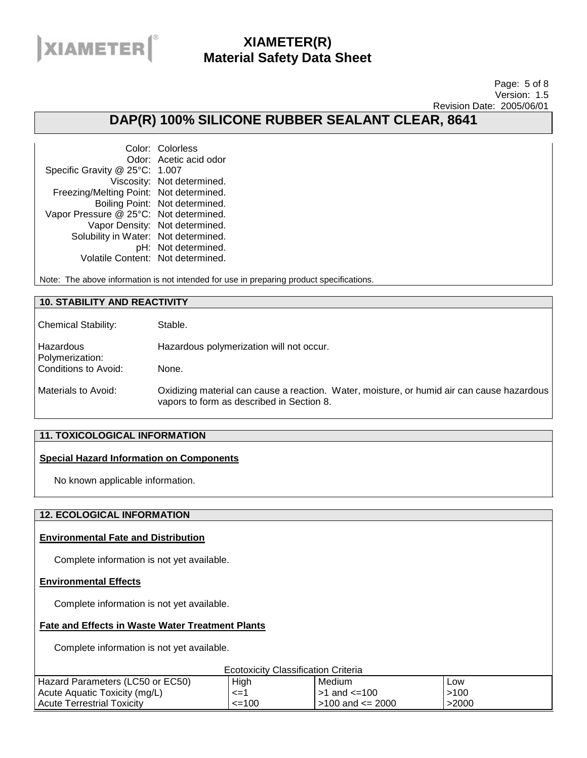

#### Page: 5 of 8 Version: 1.5 Revision Date: 2005/06/01

### **DAP(R) 100% SILICONE RUBBER SEALANT CLEAR, 8641**

Color: Colorless Odor: Acetic acid odor Specific Gravity @ 25°C: 1.007 Viscosity: Not determined. Freezing/Melting Point: Not determined. Boiling Point: Not determined. Vapor Pressure @ 25°C: Not determined. Vapor Density: Not determined. Solubility in Water: Not determined. pH: Not determined. Volatile Content: Not determined.

Note: The above information is not intended for use in preparing product specifications.

#### **10. STABILITY AND REACTIVITY**

| <b>Chemical Stability:</b>   | Stable.                                                                                                                                 |
|------------------------------|-----------------------------------------------------------------------------------------------------------------------------------------|
| Hazardous<br>Polymerization: | Hazardous polymerization will not occur.                                                                                                |
| Conditions to Avoid:         | None.                                                                                                                                   |
| Materials to Avoid:          | Oxidizing material can cause a reaction. Water, moisture, or humid air can cause hazardous<br>vapors to form as described in Section 8. |

#### **11. TOXICOLOGICAL INFORMATION**

#### **Special Hazard Information on Components**

No known applicable information.

#### **12. ECOLOGICAL INFORMATION**

#### **Environmental Fate and Distribution**

Complete information is not yet available.

#### **Environmental Effects**

Complete information is not yet available.

#### **Fate and Effects in Waste Water Treatment Plants**

Complete information is not yet available.

Ecotoxicity Classification Criteria

| LUURIUMUI URUUMIUURIUI UIRUNU    |        |                        |       |
|----------------------------------|--------|------------------------|-------|
| Hazard Parameters (LC50 or EC50) | High   | Medium                 | Low   |
| Acute Aquatic Toxicity (mg/L)    | <=     | $>1$ and $<=100$       | 100ء  |
| Acute Terrestrial Toxicity       | $=100$ | $>100$ and $\leq$ 2000 | >2000 |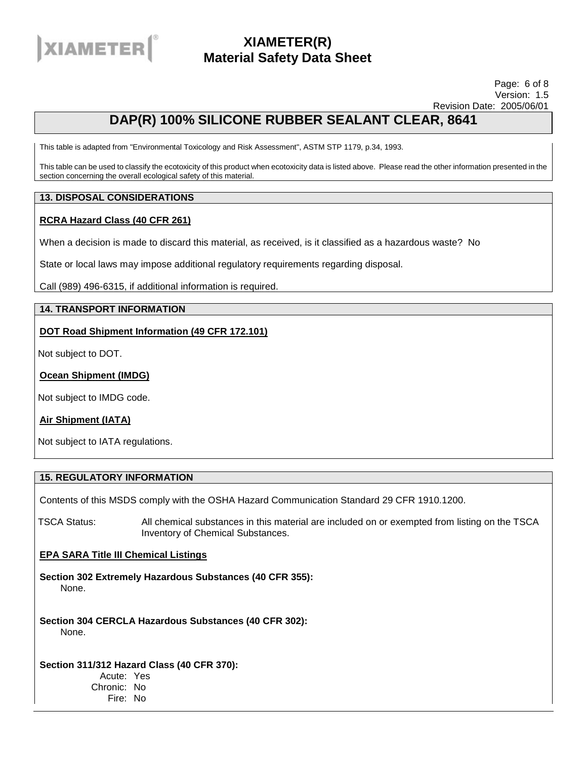

#### Page: 6 of 8 Version: 1.5 Revision Date: 2005/06/01

## **DAP(R) 100% SILICONE RUBBER SEALANT CLEAR, 8641**

This table is adapted from "Environmental Toxicology and Risk Assessment", ASTM STP 1179, p.34, 1993.

This table can be used to classify the ecotoxicity of this product when ecotoxicity data is listed above. Please read the other information presented in the section concerning the overall ecological safety of this material.

#### **13. DISPOSAL CONSIDERATIONS**

#### **RCRA Hazard Class (40 CFR 261)**

When a decision is made to discard this material, as received, is it classified as a hazardous waste? No

State or local laws may impose additional regulatory requirements regarding disposal.

Call (989) 496-6315, if additional information is required.

#### **14. TRANSPORT INFORMATION**

#### **DOT Road Shipment Information (49 CFR 172.101)**

Not subject to DOT.

**Ocean Shipment (IMDG)**

Not subject to IMDG code.

#### **Air Shipment (IATA)**

Not subject to IATA regulations.

#### **15. REGULATORY INFORMATION**

Contents of this MSDS comply with the OSHA Hazard Communication Standard 29 CFR 1910.1200.

TSCA Status: All chemical substances in this material are included on or exempted from listing on the TSCA Inventory of Chemical Substances.

#### **EPA SARA Title III Chemical Listings**

**Section 302 Extremely Hazardous Substances (40 CFR 355):**  None.

**Section 304 CERCLA Hazardous Substances (40 CFR 302):**  None.

**Section 311/312 Hazard Class (40 CFR 370):**  Acute: Yes

Chronic: No Fire: No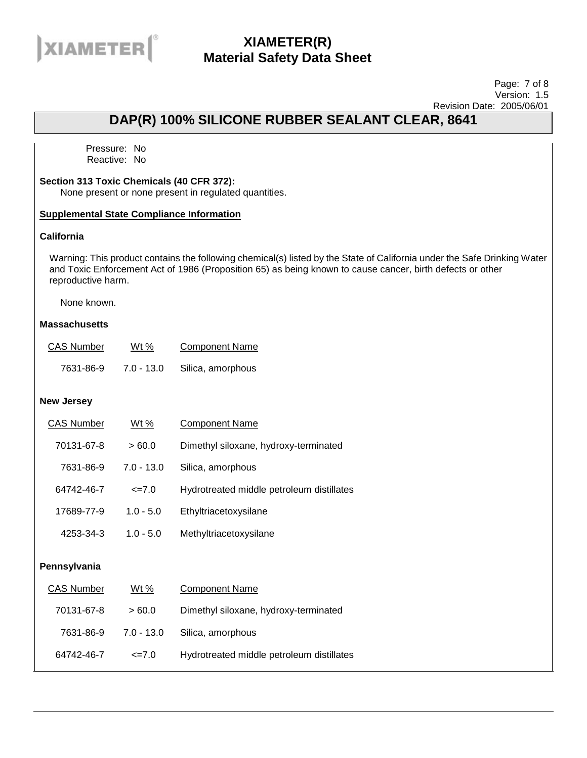

#### Page: 7 of 8 Version: 1.5 Revision Date: 2005/06/01

## **DAP(R) 100% SILICONE RUBBER SEALANT CLEAR, 8641**

Pressure: No Reactive: No

#### **Section 313 Toxic Chemicals (40 CFR 372):**

None present or none present in regulated quantities.

#### **Supplemental State Compliance Information**

### **California**

Warning: This product contains the following chemical(s) listed by the State of California under the Safe Drinking Water and Toxic Enforcement Act of 1986 (Proposition 65) as being known to cause cancer, birth defects or other reproductive harm.

None known.

#### **Massachusetts**

| <b>CAS Number</b> | Wt %       | <b>Component Name</b> |
|-------------------|------------|-----------------------|
| 7631-86-9         | 7.0 - 13.0 | Silica, amorphous     |

#### **New Jersey**

| <b>CAS Number</b> | Wt $%$           | <b>Component Name</b>                     |
|-------------------|------------------|-------------------------------------------|
| 70131-67-8        | >60.0            | Dimethyl siloxane, hydroxy-terminated     |
| 7631-86-9         | $7.0 - 13.0$     | Silica, amorphous                         |
| 64742-46-7        | $\epsilon = 7.0$ | Hydrotreated middle petroleum distillates |
| 17689-77-9        | $1.0 - 5.0$      | Ethyltriacetoxysilane                     |
| 4253-34-3         | $1.0 - 5.0$      | Methyltriacetoxysilane                    |
|                   |                  |                                           |

#### **Pennsylvania**

| <b>CAS Number</b> | Wt %         | <b>Component Name</b>                     |
|-------------------|--------------|-------------------------------------------|
| 70131-67-8        | >60.0        | Dimethyl siloxane, hydroxy-terminated     |
| 7631-86-9         | $7.0 - 13.0$ | Silica, amorphous                         |
| 64742-46-7        | $\leq$ 7.0   | Hydrotreated middle petroleum distillates |
|                   |              |                                           |